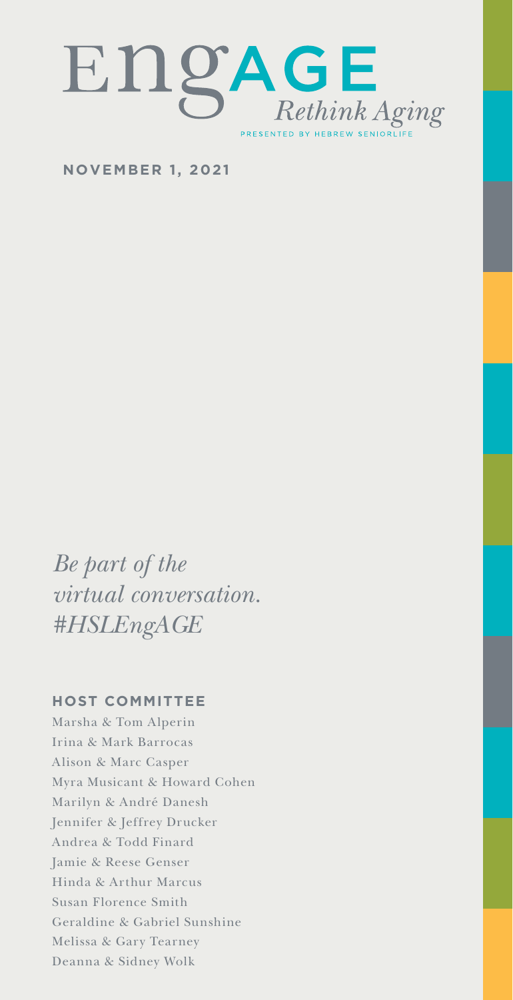

**NOVEMBER 1, 2021**

*Be part of the virtual conversation. #HSLEngAGE*

#### **HOST COMMITTEE**

Marsha & Tom Alperin Irina & Mark Barrocas Alison & Marc Casper Myra Musicant & Howard Cohen Marilyn & André Danesh Jennifer & Jeffrey Drucker Andrea & Todd Finard Jamie & Reese Genser Hinda & Arthur Marcus Susan Florence Smith Geraldine & Gabriel Sunshine Melissa & Gary Tearney Deanna & Sidney Wolk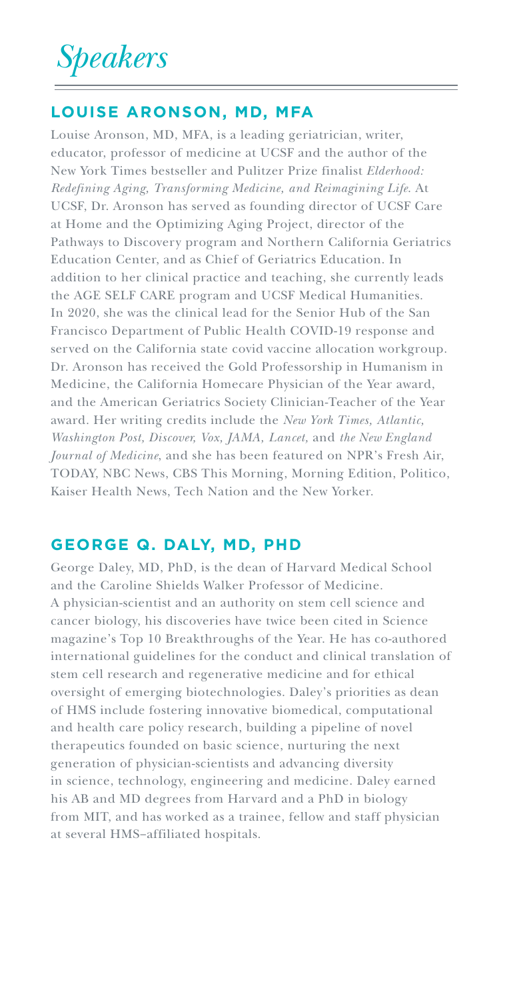## *Speakers*

## **LOUISE ARONSON, MD, MFA**

Louise Aronson, MD, MFA, is a leading geriatrician, writer, educator, professor of medicine at UCSF and the author of the New York Times bestseller and Pulitzer Prize finalist *Elderhood: Redefining Aging, Transforming Medicine, and Reimagining Life*. At UCSF, Dr. Aronson has served as founding director of UCSF Care at Home and the Optimizing Aging Project, director of the Pathways to Discovery program and Northern California Geriatrics Education Center, and as Chief of Geriatrics Education. In addition to her clinical practice and teaching, she currently leads the AGE SELF CARE program and UCSF Medical Humanities. In 2020, she was the clinical lead for the Senior Hub of the San Francisco Department of Public Health COVID-19 response and served on the California state covid vaccine allocation workgroup. Dr. Aronson has received the Gold Professorship in Humanism in Medicine, the California Homecare Physician of the Year award, and the American Geriatrics Society Clinician-Teacher of the Year award. Her writing credits include the *New York Times, Atlantic, Washington Post, Discover, Vox, JAMA, Lancet,* and *the New England Journal of Medicine*, and she has been featured on NPR's Fresh Air, TODAY, NBC News, CBS This Morning, Morning Edition, Politico, Kaiser Health News, Tech Nation and the New Yorker.

## **GEORGE Q. DALY, MD, PHD**

George Daley, MD, PhD, is the dean of Harvard Medical School and the Caroline Shields Walker Professor of Medicine. A physician-scientist and an authority on stem cell science and cancer biology, his discoveries have twice been cited in Science magazine's Top 10 Breakthroughs of the Year. He has co-authored international guidelines for the conduct and clinical translation of stem cell research and regenerative medicine and for ethical oversight of emerging biotechnologies. Daley's priorities as dean of HMS include fostering innovative biomedical, computational and health care policy research, building a pipeline of novel therapeutics founded on basic science, nurturing the next generation of physician-scientists and advancing diversity in science, technology, engineering and medicine. Daley earned his AB and MD degrees from Harvard and a PhD in biology from MIT, and has worked as a trainee, fellow and staff physician at several HMS–affiliated hospitals.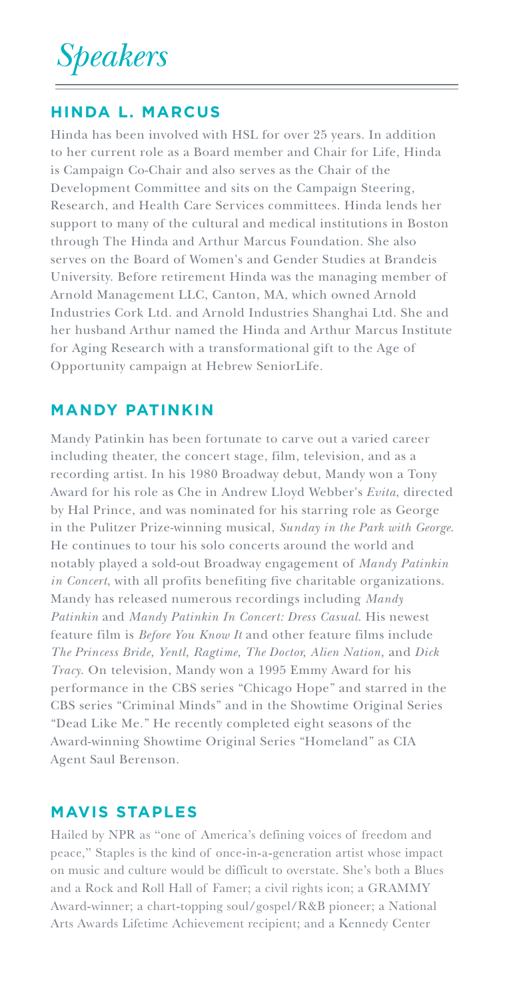*Speakers*

#### **HINDA L. MARCUS**

Hinda has been involved with HSL for over 25 years. In addition to her current role as a Board member and Chair for Life, Hinda is Campaign Co-Chair and also serves as the Chair of the Development Committee and sits on the Campaign Steering, Research, and Health Care Services committees. Hinda lends her support to many of the cultural and medical institutions in Boston through The Hinda and Arthur Marcus Foundation. She also serves on the Board of Women's and Gender Studies at Brandeis University. Before retirement Hinda was the managing member of Arnold Management LLC, Canton, MA, which owned Arnold Industries Cork Ltd. and Arnold Industries Shanghai Ltd. She and her husband Arthur named the Hinda and Arthur Marcus Institute for Aging Research with a transformational gift to the Age of Opportunity campaign at Hebrew SeniorLife.

#### **MANDY PATINKIN**

Mandy Patinkin has been fortunate to carve out a varied career including theater, the concert stage, film, television, and as a recording artist. In his 1980 Broadway debut, Mandy won a Tony Award for his role as Che in Andrew Lloyd Webber's *Evita*, directed by Hal Prince, and was nominated for his starring role as George in the Pulitzer Prize-winning musical, *Sunday in the Park with George*. He continues to tour his solo concerts around the world and notably played a sold-out Broadway engagement of *Mandy Patinkin in Concert*, with all profits benefiting five charitable organizations. Mandy has released numerous recordings including *Mandy Patinkin* and *Mandy Patinkin In Concert: Dress Casual*. His newest feature film is *Before You Know It* and other feature films include *The Princess Bride, Yentl, Ragtime, The Doctor, Alien Nation,* and *Dick Tracy*. On television, Mandy won a 1995 Emmy Award for his performance in the CBS series "Chicago Hope" and starred in the CBS series "Criminal Minds" and in the Showtime Original Series "Dead Like Me." He recently completed eight seasons of the Award-winning Showtime Original Series "Homeland" as CIA Agent Saul Berenson.

### **MAVIS STAPLES**

Hailed by NPR as "one of America's defining voices of freedom and peace," Staples is the kind of once-in-a-generation artist whose impact on music and culture would be difficult to overstate. She's both a Blues and a Rock and Roll Hall of Famer; a civil rights icon; a GRAMMY Award-winner; a chart-topping soul/gospel/R&B pioneer; a National Arts Awards Lifetime Achievement recipient; and a Kennedy Center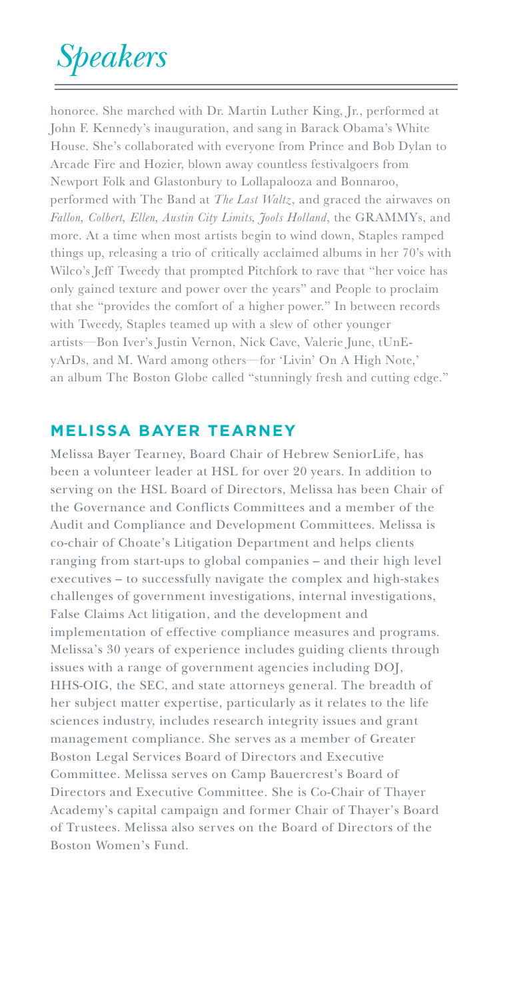# *Speakers*

honoree. She marched with Dr. Martin Luther King, Jr., performed at John F. Kennedy's inauguration, and sang in Barack Obama's White House. She's collaborated with everyone from Prince and Bob Dylan to Arcade Fire and Hozier, blown away countless festivalgoers from Newport Folk and Glastonbury to Lollapalooza and Bonnaroo, performed with The Band at *The Last Waltz*, and graced the airwaves on *Fallon, Colbert, Ellen, Austin City Limits, Jools Holland*, the GRAMMYs, and more. At a time when most artists begin to wind down, Staples ramped things up, releasing a trio of critically acclaimed albums in her 70's with Wilco's Jeff Tweedy that prompted Pitchfork to rave that "her voice has only gained texture and power over the years" and People to proclaim that she "provides the comfort of a higher power." In between records with Tweedy, Staples teamed up with a slew of other younger artists—Bon Iver's Justin Vernon, Nick Cave, Valerie June, tUnEyArDs, and M. Ward among others—for 'Livin' On A High Note,' an album The Boston Globe called "stunningly fresh and cutting edge."

## **MELISSA BAYER TEARNEY**

Melissa Bayer Tearney, Board Chair of Hebrew SeniorLife, has been a volunteer leader at HSL for over 20 years. In addition to serving on the HSL Board of Directors, Melissa has been Chair of the Governance and Conflicts Committees and a member of the Audit and Compliance and Development Committees. Melissa is co-chair of Choate's Litigation Department and helps clients ranging from start-ups to global companies – and their high level executives – to successfully navigate the complex and high-stakes challenges of government investigations, internal investigations, False Claims Act litigation, and the development and implementation of effective compliance measures and programs. Melissa's 30 years of experience includes guiding clients through issues with a range of government agencies including DOJ, HHS-OIG, the SEC, and state attorneys general. The breadth of her subject matter expertise, particularly as it relates to the life sciences industry, includes research integrity issues and grant management compliance. She serves as a member of Greater Boston Legal Services Board of Directors and Executive Committee. Melissa serves on Camp Bauercrest's Board of Directors and Executive Committee. She is Co-Chair of Thayer Academy's capital campaign and former Chair of Thayer's Board of Trustees. Melissa also serves on the Board of Directors of the Boston Women's Fund.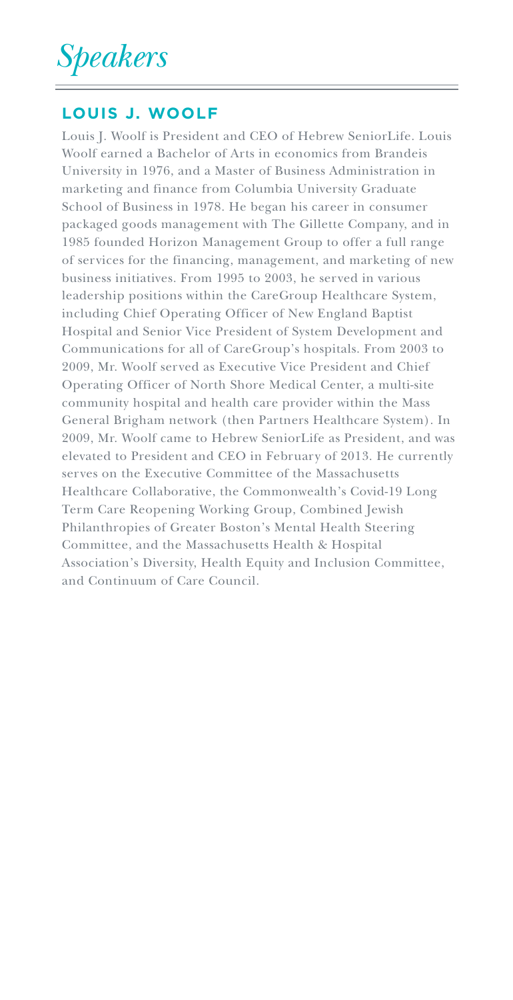*Speakers*

## **LOUIS J. WOOLF**

Louis J. Woolf is President and CEO of Hebrew SeniorLife. Louis Woolf earned a Bachelor of Arts in economics from Brandeis University in 1976, and a Master of Business Administration in marketing and finance from Columbia University Graduate School of Business in 1978. He began his career in consumer packaged goods management with The Gillette Company, and in 1985 founded Horizon Management Group to offer a full range of services for the financing, management, and marketing of new business initiatives. From 1995 to 2003, he served in various leadership positions within the CareGroup Healthcare System, including Chief Operating Officer of New England Baptist Hospital and Senior Vice President of System Development and Communications for all of CareGroup's hospitals. From 2003 to 2009, Mr. Woolf served as Executive Vice President and Chief Operating Officer of North Shore Medical Center, a multi-site community hospital and health care provider within the Mass General Brigham network (then Partners Healthcare System). In 2009, Mr. Woolf came to Hebrew SeniorLife as President, and was elevated to President and CEO in February of 2013. He currently serves on the Executive Committee of the Massachusetts Healthcare Collaborative, the Commonwealth's Covid-19 Long Term Care Reopening Working Group, Combined Jewish Philanthropies of Greater Boston's Mental Health Steering Committee, and the Massachusetts Health & Hospital Association's Diversity, Health Equity and Inclusion Committee, and Continuum of Care Council.